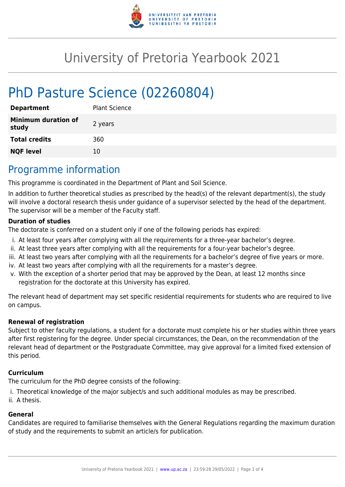

# University of Pretoria Yearbook 2021

# PhD Pasture Science (02260804)

| <b>Department</b>                   | <b>Plant Science</b> |
|-------------------------------------|----------------------|
| <b>Minimum duration of</b><br>study | 2 years              |
| <b>Total credits</b>                | 360                  |
| <b>NQF level</b>                    | 10                   |

## Programme information

This programme is coordinated in the Department of Plant and Soil Science.

In addition to further theoretical studies as prescribed by the head(s) of the relevant department(s), the study will involve a doctoral research thesis under guidance of a supervisor selected by the head of the department. The supervisor will be a member of the Faculty staff.

### **Duration of studies**

The doctorate is conferred on a student only if one of the following periods has expired:

- i. At least four years after complying with all the requirements for a three-year bachelor's degree.
- ii. At least three years after complying with all the requirements for a four-year bachelor's degree.
- iii. At least two years after complying with all the requirements for a bachelor's degree of five years or more.
- iv. At least two years after complying with all the requirements for a master's degree.
- v. With the exception of a shorter period that may be approved by the Dean, at least 12 months since registration for the doctorate at this University has expired.

The relevant head of department may set specific residential requirements for students who are required to live on campus.

#### **Renewal of registration**

Subject to other faculty regulations, a student for a doctorate must complete his or her studies within three years after first registering for the degree. Under special circumstances, the Dean, on the recommendation of the relevant head of department or the Postgraduate Committee, may give approval for a limited fixed extension of this period.

#### **Curriculum**

The curriculum for the PhD degree consists of the following:

- i. Theoretical knowledge of the major subject/s and such additional modules as may be prescribed.
- ii. A thesis.

#### **General**

Candidates are required to familiarise themselves with the General Regulations regarding the maximum duration of study and the requirements to submit an article/s for publication.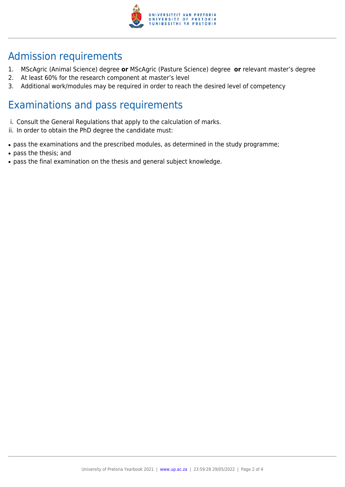

## Admission requirements

- 1. MScAgric (Animal Science) degree **or** MScAgric (Pasture Science) degree **or** relevant master's degree
- 2. At least 60% for the research component at master's level
- 3. Additional work/modules may be required in order to reach the desired level of competency

### Examinations and pass requirements

- i. Consult the General Regulations that apply to the calculation of marks.
- ii. In order to obtain the PhD degree the candidate must:
- pass the examinations and the prescribed modules, as determined in the study programme;
- pass the thesis; and
- pass the final examination on the thesis and general subject knowledge.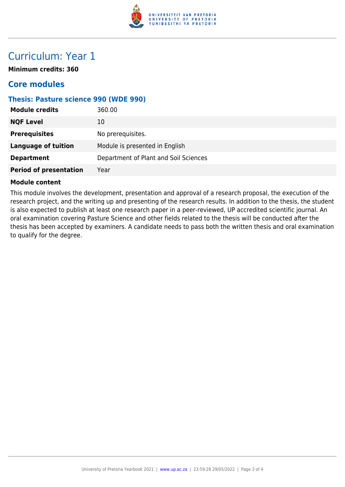

### Curriculum: Year 1

**Minimum credits: 360**

### **Core modules**

### **Thesis: Pasture science 990 (WDE 990)**

| <b>Module credits</b>         | 360.00                                |
|-------------------------------|---------------------------------------|
| <b>NQF Level</b>              | 10                                    |
| <b>Prerequisites</b>          | No prerequisites.                     |
| <b>Language of tuition</b>    | Module is presented in English        |
| <b>Department</b>             | Department of Plant and Soil Sciences |
| <b>Period of presentation</b> | Year                                  |

#### **Module content**

This module involves the development, presentation and approval of a research proposal, the execution of the research project, and the writing up and presenting of the research results. In addition to the thesis, the student is also expected to publish at least one research paper in a peer-reviewed, UP accredited scientific journal. An oral examination covering Pasture Science and other fields related to the thesis will be conducted after the thesis has been accepted by examiners. A candidate needs to pass both the written thesis and oral examination to qualify for the degree.